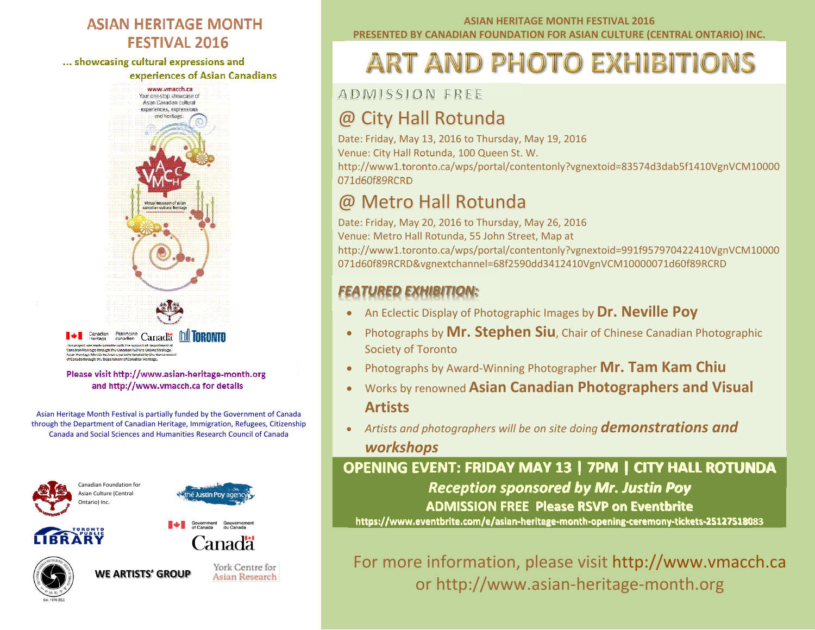#### **ASIAN HERITAGE MONTH FESTIVAL 2016**

... showcasing cultural expressions and

experiences of Asian Canadians



Canadian Patrimoine Canada | **IRRONTO** act was made cossible with the support of Department of possible with the support to bepartment t<br>pugh the Canadian Culture Online Strategy en nage om ought the Canadaan Cuncure Omme Sourc<br>Lage Month Festival is partially familed by the Gove seh the Renartment off

Please visit http://www.asian-heritage-month.org and http://www.vmacch.ca for details

Asian Heritage Month Festival is partially funded by the Government of Canada through the Department of Canadian Heritage, Immigration, Refugees, Citizenship Canada and Social Sciences and Humanities Research Council of Canada









Canadä

York Centre for **WE ARTISTS' GROUPAsian Research** 

#### **ASIAN HERITAGE MONTH FESTIVAL 2016 PRESENTED BY CANADIAN FOUNDATION FOR ASIAN CULTURE (CENTRAL ONTARIO) INC.**

## **ART AND PHOTO EXHIBITIONS**

ADMISSION FREE

## @ City Hall Rotunda

Date: Friday, May 13, 2016 to Thursday, May 19, 2016

Venue: City Hall Rotunda, 100 Queen St. W.

http://www1.toronto.ca/wps/portal/contentonly?vgnextoid=83574d3dab5f1410VgnVCM10000 071d60f89RCRD

## @ Metro Hall Rotunda

Date: Friday, May 20, 2016 to Thursday, May 26, 2016 Venue: Metro Hall Rotunda, 55 John Street, Map at http://www1.toronto.ca/wps/portal/contentonly?vgnextoid=991f957970422410VgnVCM10000 071d60f89RCRD&vgnextchannel=68f2590dd3412410VgnVCM10000071d60f89RCRD

## *FEATURED EXHIBITION:*

- 0 An Eclectic Display of Photographic Images by **Dr. Neville Poy**
- 0 Photographs by **Mr. Stephen Siu**, Chair of Chinese Canadian Photographic Society of Toronto
- 0 Photographs by Award‐Winning Photographer **Mr. Tam Kam Chiu**
- 0 Works by renowned **Asian Canadian Photographers and Visual Artists**
- *Artists and photographers will be on site doing demonstrations and workshops*

**OPENING EVENT: FRIDAY MAY 13 | 7PM | CITY HALL ROTUNDA** *Reception sponsored by Mr. Justin Poy* **ADMISSION FREE Please RSVP on Eventbrite**

**https://www.eventbrite.com/e/asian‐heritage‐month‐opening‐ceremony‐tickets‐25127518083**

For more information, please visit http://www.vmacch.ca or http://www.asian‐heritage‐month.org